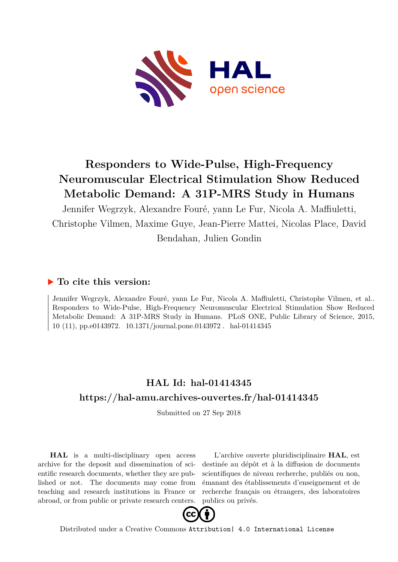

# **Responders to Wide-Pulse, High-Frequency Neuromuscular Electrical Stimulation Show Reduced Metabolic Demand: A 31P-MRS Study in Humans**

Jennifer Wegrzyk, Alexandre Fouré, yann Le Fur, Nicola A. Maffiuletti, Christophe Vilmen, Maxime Guye, Jean-Pierre Mattei, Nicolas Place, David Bendahan, Julien Gondin

### **To cite this version:**

Jennifer Wegrzyk, Alexandre Fouré, yann Le Fur, Nicola A. Maffiuletti, Christophe Vilmen, et al.. Responders to Wide-Pulse, High-Frequency Neuromuscular Electrical Stimulation Show Reduced Metabolic Demand: A 31P-MRS Study in Humans. PLoS ONE, Public Library of Science, 2015, 10 (11), pp.e0143972. 10.1371/journal.pone.0143972. hal-01414345

## **HAL Id: hal-01414345 <https://hal-amu.archives-ouvertes.fr/hal-01414345>**

Submitted on 27 Sep 2018

**HAL** is a multi-disciplinary open access archive for the deposit and dissemination of scientific research documents, whether they are published or not. The documents may come from teaching and research institutions in France or abroad, or from public or private research centers.

L'archive ouverte pluridisciplinaire **HAL**, est destinée au dépôt et à la diffusion de documents scientifiques de niveau recherche, publiés ou non, émanant des établissements d'enseignement et de recherche français ou étrangers, des laboratoires publics ou privés.



Distributed under a Creative Commons [Attribution| 4.0 International License](http://creativecommons.org/licenses/by/4.0/)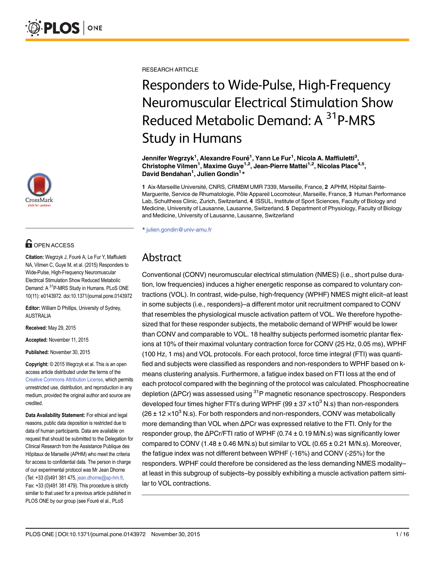

# **OPEN ACCESS**

Citation: Wegrzyk J, Fouré A, Le Fur Y, Maffiuletti NA, Vilmen C, Guye M, et al. (2015) Responders to Wide-Pulse, High-Frequency Neuromuscular Electrical Stimulation Show Reduced Metabolic Demand: A 31P-MRS Study in Humans. PLoS ONE 10(11): e0143972. doi:10.1371/journal.pone.0143972

Editor: William D Phillips, University of Sydney, AUSTRALIA

Received: May 29, 2015

Accepted: November 11, 2015

Published: November 30, 2015

Copyright: © 2015 Wegrzyk et al. This is an open access article distributed under the terms of the [Creative Commons Attribution License,](http://creativecommons.org/licenses/by/4.0/) which permits unrestricted use, distribution, and reproduction in any medium, provided the original author and source are credited.

Data Availability Statement: For ethical and legal reasons, public data deposition is restricted due to data of human participants. Data are available on request that should be submitted to the Delegation for Clinical Research from the Assistance Publique des Hôpitaux de Marseille (APHM) who meet the criteria for access to confidential data. The person in charge of our experimental protocol was Mr Jean Dhorne (Tel: +33 (0)491 381 475, jean.dhorne@ap-hm.fr, Fax: +33 (0)491 381 479). This procedure is strictly similar to that used for a previous article published in PLOS ONE by our group (see Fouré el al., PLoS

RESEARCH ARTICLE

# Responders to Wide-Pulse, High-Frequency Neuromuscular Electrical Stimulation Show Reduced Metabolic Demand: A <sup>31</sup>P-MRS Study in Humans

Jennifer Wegrzyk<sup>1</sup>, Alexandre Fouré<sup>1</sup>, Yann Le Fur<sup>1</sup>, Nicola A. Maffiuletti<sup>3</sup>, Christophe Vilmen<sup>1</sup>, Maxime Guye<sup>1,2</sup>, Jean-Pierre Mattei<sup>1,2</sup>, Nicolas Place<sup>4,5</sup>, David Bendahan<sup>1</sup>, Julien Gondin<sup>1\*</sup>

1 Aix-Marseille Université, CNRS, CRMBM UMR 7339, Marseille, France, 2 APHM, Hôpital Sainte-Marguerite, Service de Rhumatologie, Pôle Appareil Locomoteur, Marseille, France, 3 Human Performance Lab, Schulthess Clinic, Zurich, Switzerland, 4 ISSUL, Institute of Sport Sciences, Faculty of Biology and Medicine, University of Lausanne, Lausanne, Switzerland, 5 Department of Physiology, Faculty of Biology and Medicine, University of Lausanne, Lausanne, Switzerland

\* julien.gondin@univ-amu.fr

# Abstract

Conventional (CONV) neuromuscular electrical stimulation (NMES) (i.e., short pulse duration, low frequencies) induces a higher energetic response as compared to voluntary contractions (VOL). In contrast, wide-pulse, high-frequency (WPHF) NMES might elicit–at least in some subjects (i.e., responders)–a different motor unit recruitment compared to CONV that resembles the physiological muscle activation pattern of VOL. We therefore hypothesized that for these responder subjects, the metabolic demand of WPHF would be lower than CONV and comparable to VOL. 18 healthy subjects performed isometric plantar flexions at 10% of their maximal voluntary contraction force for CONV (25 Hz, 0.05 ms), WPHF (100 Hz, 1 ms) and VOL protocols. For each protocol, force time integral (FTI) was quantified and subjects were classified as responders and non-responders to WPHF based on kmeans clustering analysis. Furthermore, a fatigue index based on FTI loss at the end of each protocol compared with the beginning of the protocol was calculated. Phosphocreatine depletion ( $\Delta$ PCr) was assessed using <sup>31</sup>P magnetic resonance spectroscopy. Responders developed four times higher FTI's during WPHF (99  $\pm$  37  $\times$  10<sup>3</sup> N.s) than non-responders  $(26 \pm 12 \times 10^3 \text{ N.s})$ . For both responders and non-responders, CONV was metabolically more demanding than VOL when ΔPCr was expressed relative to the FTI. Only for the responder group, the ΔPCr/FTI ratio of WPHF (0.74 ± 0.19 M/N.s) was significantly lower compared to CONV  $(1.48 \pm 0.46 \text{ M/N.s})$  but similar to VOL  $(0.65 \pm 0.21 \text{ M/N.s})$ . Moreover, the fatigue index was not different between WPHF (-16%) and CONV (-25%) for the responders. WPHF could therefore be considered as the less demanding NMES modality– at least in this subgroup of subjects–by possibly exhibiting a muscle activation pattern similar to VOL contractions.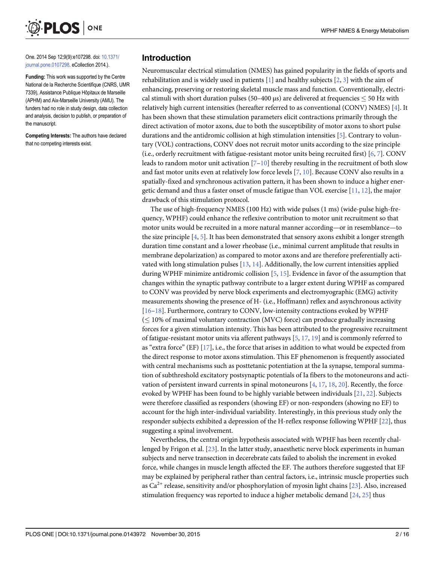One. 2014 Sep 12;9(9):e107298. doi: [10.1371/](http://dx.doi.org/10.1371/journal.pone.0107298) [journal.pone.0107298.](http://dx.doi.org/10.1371/journal.pone.0107298) eCollection 2014.).

ONE

**PLOS** I

Funding: This work was supported by the Centre National de la Recherche Scientifique (CNRS, UMR 7339), Assistance Publique Hôpitaux de Marseille (APHM) and Aix-Marseille University (AMU). The funders had no role in study design, data collection and analysis, decision to publish, or preparation of the manuscript.

Competing Interests: The authors have declared that no competing interests exist.

### Introduction

Neuromuscular electrical stimulation (NMES) has gained popularity in the fields of sports and rehabilitation and is widely used in patients  $[1]$  and healthy subjects  $[2, 3]$  with the aim of enhancing, preserving or restoring skeletal muscle mass and function. Conventionally, electrical stimuli with short duration pulses (50–400 μs) are delivered at frequencies  $\leq$  50 Hz with relatively high current intensities (hereafter referred to as conventional (CONV) NMES) [ $4$ ]. It has been shown that these stimulation parameters elicit contractions primarily through the direct activation of motor axons, due to both the susceptibility of motor axons to short pulse durations and the antidromic collision at high stimulation intensities [5]. Contrary to voluntary (VOL) contractions, CONV does not recruit motor units according to the size principle (i.e., orderly recruitment with fatigue-resistant motor units being recruited first) [6, 7]. CONV leads to random motor unit activation  $[7-10]$  thereby resulting in the recruitment of both slow and fast motor units even at relatively low force levels [7, 10]. Because CONV also results in a spatially-fixed and synchronous activation pattern, it has been shown to induce a higher energetic demand and thus a faster onset of muscle fatigue than VOL exercise  $[11, 12]$ , the major drawback of this stimulation protocol.

The use of high-frequency NMES (100 Hz) with wide pulses (1 ms) (wide-pulse high-frequency, WPHF) could enhance the reflexive contribution to motor unit recruitment so that motor units would be recruited in a more natural manner according—or in resemblance—to the size principle  $[4, 5]$ . It has been demonstrated that sensory axons exhibit a longer strength duration time constant and a lower rheobase (i.e., minimal current amplitude that results in membrane depolarization) as compared to motor axons and are therefore preferentially activated with long stimulation pulses  $[13, 14]$ . Additionally, the low current intensities applied during WPHF minimize antidromic collision [5, 15]. Evidence in favor of the assumption that changes within the synaptic pathway contribute to a larger extent during WPHF as compared to CONV was provided by nerve block experiments and electromyographic (EMG) activity measurements showing the presence of H- (i.e., Hoffmann) reflex and asynchronous activity [16–18]. Furthermore, contrary to CONV, low-intensity contractions evoked by WPHF  $(< 10\%$  of maximal voluntary contraction (MVC) force) can produce gradually increasing forces for a given stimulation intensity. This has been attributed to the progressive recruitment of fatigue-resistant motor units via afferent pathways  $[5, 17, 19]$  and is commonly referred to as "extra force" (EF)  $[17]$ , i.e., the force that arises in addition to what would be expected from the direct response to motor axons stimulation. This EF phenomenon is frequently associated with central mechanisms such as posttetanic potentiation at the Ia synapse, temporal summation of subthreshold excitatory postsynaptic potentials of Ia fibers to the motoneurons and activation of persistent inward currents in spinal motoneurons  $[4, 17, 18, 20]$ . Recently, the force evoked by WPHF has been found to be highly variable between individuals [21, 22]. Subjects were therefore classified as responders (showing EF) or non-responders (showing no EF) to account for the high inter-individual variability. Interestingly, in this previous study only the responder subjects exhibited a depression of the H-reflex response following WPHF [22], thus suggesting a spinal involvement.

Nevertheless, the central origin hypothesis associated with WPHF has been recently challenged by Frigon et al. [23]. In the latter study, anaesthetic nerve block experiments in human subjects and nerve transection in decerebrate cats failed to abolish the increment in evoked force, while changes in muscle length affected the EF. The authors therefore suggested that EF may be explained by peripheral rather than central factors, i.e., intrinsic muscle properties such as  $Ca^{2+}$  release, sensitivity and/or phosphorylation of myosin light chains [23]. Also, increased stimulation frequency was reported to induce a higher metabolic demand [24, 25] thus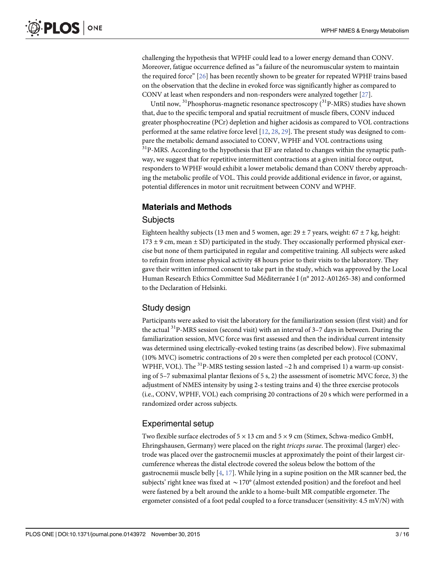challenging the hypothesis that WPHF could lead to a lower energy demand than CONV. Moreover, fatigue occurrence defined as "a failure of the neuromuscular system to maintain the required force"  $[26]$  has been recently shown to be greater for repeated WPHF trains based on the observation that the decline in evoked force was significantly higher as compared to CONV at least when responders and non-responders were analyzed together [27].

Until now,  $^{31}$ Phosphorus-magnetic resonance spectroscopy ( $^{31}$ P-MRS) studies have shown that, due to the specific temporal and spatial recruitment of muscle fibers, CONV induced greater phosphocreatine (PCr) depletion and higher acidosis as compared to VOL contractions performed at the same relative force level [12, 28, 29]. The present study was designed to compare the metabolic demand associated to CONV, WPHF and VOL contractions using <sup>31</sup>P-MRS. According to the hypothesis that EF are related to changes within the synaptic pathway, we suggest that for repetitive intermittent contractions at a given initial force output, responders to WPHF would exhibit a lower metabolic demand than CONV thereby approaching the metabolic profile of VOL. This could provide additional evidence in favor, or against, potential differences in motor unit recruitment between CONV and WPHF.

### Materials and Methods

### **Subjects**

Eighteen healthy subjects (13 men and 5 women, age:  $29 \pm 7$  years, weight:  $67 \pm 7$  kg, height:  $173 \pm 9$  cm, mean  $\pm$  SD) participated in the study. They occasionally performed physical exercise but none of them participated in regular and competitive training. All subjects were asked to refrain from intense physical activity 48 hours prior to their visits to the laboratory. They gave their written informed consent to take part in the study, which was approved by the Local Human Research Ethics Committee Sud Méditerranée I (n° 2012-A01265-38) and conformed to the Declaration of Helsinki.

### Study design

Participants were asked to visit the laboratory for the familiarization session (first visit) and for the actual <sup>31</sup>P-MRS session (second visit) with an interval of 3-7 days in between. During the familiarization session, MVC force was first assessed and then the individual current intensity was determined using electrically-evoked testing trains (as described below). Five submaximal (10% MVC) isometric contractions of 20 s were then completed per each protocol (CONV, WPHF, VOL). The <sup>31</sup>P-MRS testing session lasted  $\sim$ 2 h and comprised 1) a warm-up consisting of 5–7 submaximal plantar flexions of 5 s, 2) the assessment of isometric MVC force, 3) the adjustment of NMES intensity by using 2-s testing trains and 4) the three exercise protocols (i.e., CONV, WPHF, VOL) each comprising 20 contractions of 20 s which were performed in a randomized order across subjects.

### Experimental setup

Two flexible surface electrodes of  $5 \times 13$  cm and  $5 \times 9$  cm (Stimex, Schwa-medico GmbH, Ehringshausen, Germany) were placed on the right triceps surae. The proximal (larger) electrode was placed over the gastrocnemii muscles at approximately the point of their largest circumference whereas the distal electrode covered the soleus below the bottom of the gastrocnemii muscle belly  $[4, 17]$ . While lying in a supine position on the MR scanner bed, the subjects' right knee was fixed at  $\sim$  170 $^{\circ}$  (almost extended position) and the forefoot and heel were fastened by a belt around the ankle to a home-built MR compatible ergometer. The ergometer consisted of a foot pedal coupled to a force transducer (sensitivity: 4.5 mV/N) with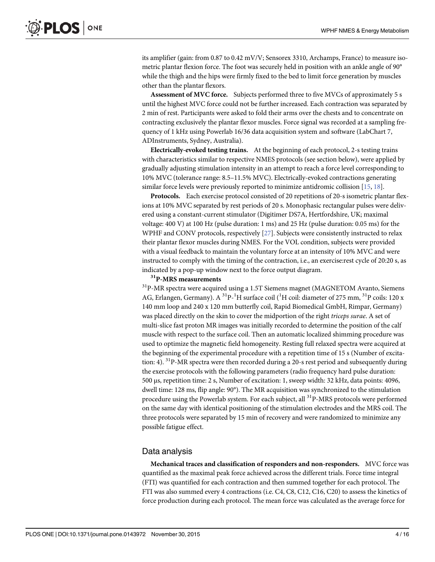its amplifier (gain: from 0.87 to 0.42 mV/V; Sensorex 3310, Archamps, France) to measure isometric plantar flexion force. The foot was securely held in position with an ankle angle of 90° while the thigh and the hips were firmly fixed to the bed to limit force generation by muscles other than the plantar flexors.

Assessment of MVC force. Subjects performed three to five MVCs of approximately 5 s until the highest MVC force could not be further increased. Each contraction was separated by 2 min of rest. Participants were asked to fold their arms over the chests and to concentrate on contracting exclusively the plantar flexor muscles. Force signal was recorded at a sampling frequency of 1 kHz using Powerlab 16/36 data acquisition system and software (LabChart 7, ADInstruments, Sydney, Australia).

Electrically-evoked testing trains. At the beginning of each protocol, 2-s testing trains with characteristics similar to respective NMES protocols (see section below), were applied by gradually adjusting stimulation intensity in an attempt to reach a force level corresponding to 10% MVC (tolerance range: 8.5–11.5% MVC). Electrically-evoked contractions generating similar force levels were previously reported to minimize antidromic collision [15, 18].

Protocols. Each exercise protocol consisted of 20 repetitions of 20-s isometric plantar flexions at 10% MVC separated by rest periods of 20 s. Monophasic rectangular pulses were delivered using a constant-current stimulator (Digitimer DS7A, Hertfordshire, UK; maximal voltage: 400 V) at 100 Hz (pulse duration: 1 ms) and 25 Hz (pulse duration: 0.05 ms) for the WPHF and CONV protocols, respectively [27]. Subjects were consistently instructed to relax their plantar flexor muscles during NMES. For the VOL condition, subjects were provided with a visual feedback to maintain the voluntary force at an intensity of 10% MVC and were instructed to comply with the timing of the contraction, i.e., an exercise:rest cycle of 20:20 s, as indicated by a pop-up window next to the force output diagram.

#### <sup>31</sup>P-MRS measurements

31P-MR spectra were acquired using a 1.5T Siemens magnet (MAGNETOM Avanto, Siemens AG, Erlangen, Germany). A <sup>31</sup>P-<sup>1</sup>H surface coil (<sup>1</sup>H coil: diameter of 275 mm, <sup>31</sup>P coils: 120 x 140 mm loop and 240 x 120 mm butterfly coil, Rapid Biomedical GmbH, Rimpar, Germany) was placed directly on the skin to cover the midportion of the right triceps surae. A set of multi-slice fast proton MR images was initially recorded to determine the position of the calf muscle with respect to the surface coil. Then an automatic localized shimming procedure was used to optimize the magnetic field homogeneity. Resting full relaxed spectra were acquired at the beginning of the experimental procedure with a repetition time of 15 s (Number of excitation: 4).  $^{31}P$ -MR spectra were then recorded during a 20-s rest period and subsequently during the exercise protocols with the following parameters (radio frequency hard pulse duration: 500 μs, repetition time: 2 s, Number of excitation: 1, sweep width: 32 kHz, data points: 4096, dwell time: 128 ms, flip angle: 90°). The MR acquisition was synchronized to the stimulation procedure using the Powerlab system. For each subject, all  $^{31}P$ -MRS protocols were performed on the same day with identical positioning of the stimulation electrodes and the MRS coil. The three protocols were separated by 15 min of recovery and were randomized to minimize any possible fatigue effect.

### Data analysis

Mechanical traces and classification of responders and non-responders. MVC force was quantified as the maximal peak force achieved across the different trials. Force time integral (FTI) was quantified for each contraction and then summed together for each protocol. The FTI was also summed every 4 contractions (i.e. C4, C8, C12, C16, C20) to assess the kinetics of force production during each protocol. The mean force was calculated as the average force for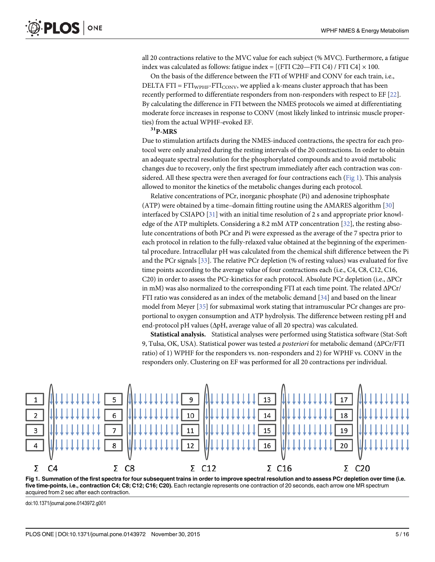all 20 contractions relative to the MVC value for each subject (% MVC). Furthermore, a fatigue index was calculated as follows: fatigue index =  $[(FTI C20 - FTI C4) / FTI C4] \times 100$ .

On the basis of the difference between the FTI of WPHF and CONV for each train, i.e., DELTA FTI =  $FTI<sub>WPHF</sub>-FTI<sub>CONV</sub>$ , we applied a k-means cluster approach that has been recently performed to differentiate responders from non-responders with respect to EF [22]. By calculating the difference in FTI between the NMES protocols we aimed at differentiating moderate force increases in response to CONV (most likely linked to intrinsic muscle properties) from the actual WPHF-evoked EF.

#### $31P-MRS$

Due to stimulation artifacts during the NMES-induced contractions, the spectra for each protocol were only analyzed during the resting intervals of the 20 contractions. In order to obtain an adequate spectral resolution for the phosphorylated compounds and to avoid metabolic changes due to recovery, only the first spectrum immediately after each contraction was considered. All these spectra were then averaged for four contractions each (Fig 1). This analysis allowed to monitor the kinetics of the metabolic changes during each protocol.

Relative concentrations of PCr, inorganic phosphate (Pi) and adenosine triphosphate (ATP) were obtained by a time–domain fitting routine using the AMARES algorithm [30] interfaced by CSIAPO  $[31]$  with an initial time resolution of 2 s and appropriate prior knowledge of the ATP multiplets. Considering a 8.2 mM ATP concentration [32], the resting absolute concentrations of both PCr and Pi were expressed as the average of the 7 spectra prior to each protocol in relation to the fully-relaxed value obtained at the beginning of the experimental procedure. Intracellular pH was calculated from the chemical shift difference between the Pi and the PCr signals [33]. The relative PCr depletion (% of resting values) was evaluated for five time points according to the average value of four contractions each (i.e., C4, C8, C12, C16, C20) in order to assess the PCr-kinetics for each protocol. Absolute PCr depletion (i.e., ΔPCr in mM) was also normalized to the corresponding FTI at each time point. The related  $\Delta P$ Cr/ FTI ratio was considered as an index of the metabolic demand [34] and based on the linear model from Meyer [35] for submaximal work stating that intramuscular PCr changes are proportional to oxygen consumption and ATP hydrolysis. The difference between resting pH and end-protocol pH values (ΔpH, average value of all 20 spectra) was calculated.

Statistical analysis. Statistical analyses were performed using Statistica software (Stat-Soft 9, Tulsa, OK, USA). Statistical power was tested a posteriori for metabolic demand (ΔPCr/FTI ratio) of 1) WPHF for the responders vs. non-responders and 2) for WPHF vs. CONV in the responders only. Clustering on EF was performed for all 20 contractions per individual.



Fig 1. Summation of the first spectra for four subsequent trains in order to improve spectral resolution and to assess PCr depletion over time (i.e. five time-points, i.e., contraction C4; C8; C12; C16; C20). Each rectangle represents one contraction of 20 seconds, each arrow one MR spectrum acquired from 2 sec after each contraction.

doi:10.1371/journal.pone.0143972.g001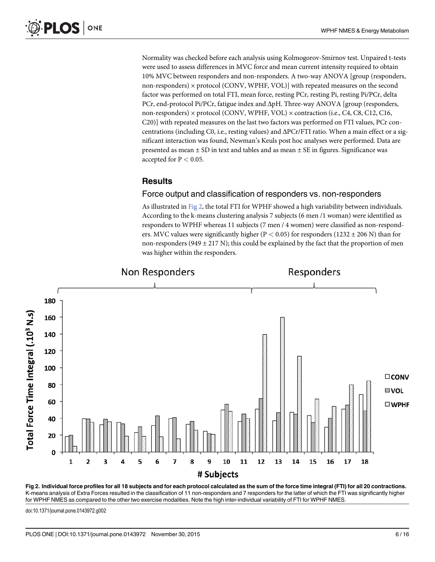Normality was checked before each analysis using Kolmogorov-Smirnov test. Unpaired t-tests were used to assess differences in MVC force and mean current intensity required to obtain 10% MVC between responders and non-responders. A two-way ANOVA [group (responders, non-responders) × protocol (CONV, WPHF, VOL)] with repeated measures on the second factor was performed on total FTI, mean force, resting PCr, resting Pi, resting Pi/PCr, delta PCr, end-protocol Pi/PCr, fatigue index and ΔpH. Three-way ANOVA [group (responders, non-responders) × protocol (CONV, WPHF, VOL) × contraction (i.e., C4, C8, C12, C16, C20)] with repeated measures on the last two factors was performed on FTI values, PCr concentrations (including C0, i.e., resting values) and ΔPCr/FTI ratio. When a main effect or a significant interaction was found, Newman's Keuls post hoc analyses were performed. Data are presented as mean  $\pm$  SD in text and tables and as mean  $\pm$  SE in figures. Significance was accepted for  $P < 0.05$ .

### **Results**

### Force output and classification of responders vs. non-responders

As illustrated in Fig 2, the total FTI for WPHF showed a high variability between individuals. According to the k-means clustering analysis 7 subjects (6 men /1 woman) were identified as responders to WPHF whereas 11 subjects (7 men / 4 women) were classified as non-responders. MVC values were significantly higher ( $P < 0.05$ ) for responders (1232  $\pm$  206 N) than for non-responders (949  $\pm$  217 N); this could be explained by the fact that the proportion of men was higher within the responders.



Fig 2. Individual force profiles for all 18 subjects and for each protocol calculated as the sum of the force time integral (FTI) for all 20 contractions. K-means analysis of Extra Forces resulted in the classification of 11 non-responders and 7 responders for the latter of which the FTI was significantly higher for WPHF NMES as compared to the other two exercise modalities. Note the high inter-individual variability of FTI for WPHF NMES.

doi:10.1371/journal.pone.0143972.g002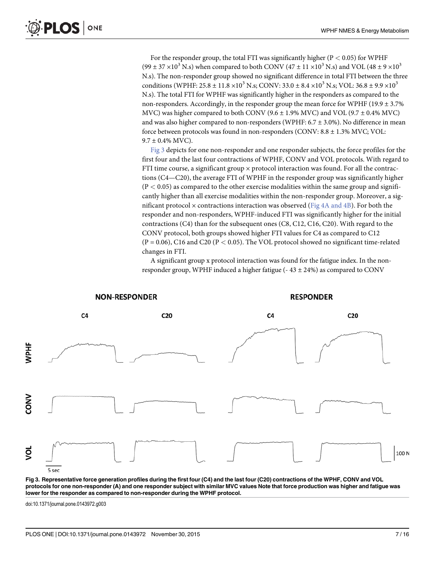For the responder group, the total FTI was significantly higher ( $P < 0.05$ ) for WPHF (99  $\pm$  37  $\times$ 10<sup>3</sup> N.s) when compared to both CONV (47  $\pm$  11  $\times$ 10<sup>3</sup> N.s) and VOL (48  $\pm$  9  $\times$ 10<sup>3</sup> N.s). The non-responder group showed no significant difference in total FTI between the three conditions (WPHF:  $25.8 \pm 11.8 \times 10^3$  N.s; CONV:  $33.0 \pm 8.4 \times 10^3$  N.s; VOL:  $36.8 \pm 9.9 \times 10^3$ N.s). The total FTI for WPHF was significantly higher in the responders as compared to the non-responders. Accordingly, in the responder group the mean force for WPHF (19.9  $\pm$  3.7%) MVC) was higher compared to both CONV (9.6  $\pm$  1.9% MVC) and VOL (9.7  $\pm$  0.4% MVC) and was also higher compared to non-responders (WPHF:  $6.7 \pm 3.0\%$ ). No difference in mean force between protocols was found in non-responders (CONV: 8.8 ± 1.3% MVC; VOL:  $9.7 \pm 0.4\%$  MVC).

Fig 3 depicts for one non-responder and one responder subjects, the force profiles for the first four and the last four contractions of WPHF, CONV and VOL protocols. With regard to FTI time course, a significant group  $\times$  protocol interaction was found. For all the contractions (C4—C20), the average FTI of WPHF in the responder group was significantly higher  $(P < 0.05)$  as compared to the other exercise modalities within the same group and significantly higher than all exercise modalities within the non-responder group. Moreover, a significant protocol  $\times$  contractions interaction was observed (Fig 4A and 4B). For both the responder and non-responders, WPHF-induced FTI was significantly higher for the initial contractions (C4) than for the subsequent ones (C8, C12, C16, C20). With regard to the CONV protocol, both groups showed higher FTI values for C4 as compared to C12  $(P = 0.06)$ , C16 and C20  $(P < 0.05)$ . The VOL protocol showed no significant time-related changes in FTI.

A significant group x protocol interaction was found for the fatigue index. In the nonresponder group, WPHF induced a higher fatigue ( $-43 \pm 24\%$ ) as compared to CONV



Fig 3. Representative force generation profiles during the first four (C4) and the last four (C20) contractions of the WPHF, CONV and VOL protocols for one non-responder (A) and one responder subject with similar MVC values Note that force production was higher and fatigue was lower for the responder as compared to non-responder during the WPHF protocol.

doi:10.1371/journal.pone.0143972.g003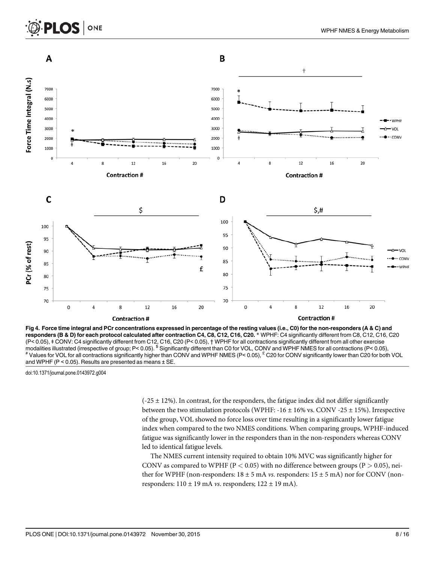### LOS I ONE



Fig 4. Force time integral and PCr concentrations expressed in percentage of the resting values (i.e., C0) for the non-responders (A & C) and responders (B & D) for each protocol calculated after contraction C4, C8, C12, C16, C20. \* WPHF: C4 significantly different from C8, C12, C16, C20 (P< 0.05), ǂ CONV: C4 significantly different from C12, C16, C20 (P< 0.05), † WPHF for all contractions significantly different from all other exercise modalities illustrated (irrespective of group;  $P < 0.05$ ). <sup>§</sup> Significantly different than C0 for VOL, CONV and WPHF NMES for all contractions ( $P < 0.05$ ),<br>
<sup>\*</sup> Values for VOL for all contractions significantly higher th and WPHF (P < 0.05). Results are presented as means ± SE.

doi:10.1371/journal.pone.0143972.g004

 $(-25 \pm 12\%)$ . In contrast, for the responders, the fatigue index did not differ significantly between the two stimulation protocols (WPHF:  $-16 \pm 16\%$  vs. CONV  $-25 \pm 15\%$ ). Irrespective of the group, VOL showed no force loss over time resulting in a significantly lower fatigue index when compared to the two NMES conditions. When comparing groups, WPHF-induced fatigue was significantly lower in the responders than in the non-responders whereas CONV led to identical fatigue levels.

The NMES current intensity required to obtain 10% MVC was significantly higher for CONV as compared to WPHF ( $P < 0.05$ ) with no difference between groups ( $P > 0.05$ ), neither for WPHF (non-responders:  $18 \pm 5$  mA *vs.* responders:  $15 \pm 5$  mA) nor for CONV (nonresponders:  $110 \pm 19$  mA *vs.* responders;  $122 \pm 19$  mA).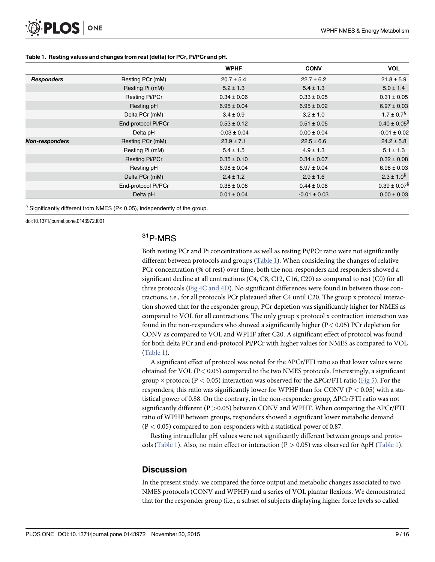|                       |                       | <b>WPHF</b>      | <b>CONV</b>      | <b>VOL</b>                   |
|-----------------------|-----------------------|------------------|------------------|------------------------------|
| <b>Responders</b>     | Resting PCr (mM)      | $20.7 \pm 5.4$   | $22.7 \pm 6.2$   | $21.8 \pm 5.9$               |
|                       | Resting Pi (mM)       | $5.2 \pm 1.3$    | $5.4 \pm 1.3$    | $5.0 \pm 1.4$                |
|                       | <b>Resting Pi/PCr</b> | $0.34 \pm 0.06$  | $0.33 \pm 0.05$  | $0.31 \pm 0.05$              |
|                       | Resting pH            | $6.95 \pm 0.04$  | $6.95 \pm 0.02$  | $6.97 \pm 0.03$              |
|                       | Delta PCr (mM)        | $3.4 \pm 0.9$    | $3.2 \pm 1.0$    | $1.7 \pm 0.7$ <sup>§</sup>   |
|                       | End-protocol Pi/PCr   | $0.53 \pm 0.12$  | $0.51 \pm 0.05$  | $0.40 \pm 0.05$ <sup>§</sup> |
|                       | Delta pH              | $-0.03 \pm 0.04$ | $0.00 \pm 0.04$  | $-0.01 \pm 0.02$             |
| <b>Non-responders</b> | Resting PCr (mM)      | $23.9 \pm 7.1$   | $22.5 \pm 6.6$   | $24.2 \pm 5.8$               |
|                       | Resting Pi (mM)       | $5.4 \pm 1.5$    | $4.9 \pm 1.3$    | $5.1 \pm 1.3$                |
|                       | <b>Resting Pi/PCr</b> | $0.35 \pm 0.10$  | $0.34 \pm 0.07$  | $0.32 \pm 0.08$              |
|                       | Resting pH            | $6.98 \pm 0.04$  | $6.97 \pm 0.04$  | $6.98 \pm 0.03$              |
|                       | Delta PCr (mM)        | $2.4 \pm 1.2$    | $2.9 \pm 1.6$    | $2.3 \pm 1.0^{\$}$           |
|                       | End-protocol Pi/PCr   | $0.38 \pm 0.08$  | $0.44 \pm 0.08$  | $0.39 \pm 0.07$ <sup>§</sup> |
|                       | Delta pH              | $0.01 \pm 0.04$  | $-0.01 \pm 0.03$ | $0.00 \pm 0.03$              |

#### Table 1. Resting values and changes from rest (delta) for PCr, Pi/PCr and pH.

§ Significantly different from NMES (P< 0.05), independently of the group.

doi:10.1371/journal.pone.0143972.t001

### 31P-MRS

Both resting PCr and Pi concentrations as well as resting Pi/PCr ratio were not significantly different between protocols and groups (Table 1). When considering the changes of relative PCr concentration (% of rest) over time, both the non-responders and responders showed a significant decline at all contractions (C4, C8, C12, C16, C20) as compared to rest (C0) for all three protocols (Fig 4C and 4D). No significant differences were found in between those contractions, i.e., for all protocols PCr plateaued after C4 until C20. The group x protocol interaction showed that for the responder group, PCr depletion was significantly higher for NMES as compared to VOL for all contractions. The only group x protocol x contraction interaction was found in the non-responders who showed a significantly higher (P< 0.05) PCr depletion for CONV as compared to VOL and WPHF after C20. A significant effect of protocol was found for both delta PCr and end-protocol Pi/PCr with higher values for NMES as compared to VOL (Table 1).

A significant effect of protocol was noted for the ΔPCr/FTI ratio so that lower values were obtained for VOL ( $P$ < 0.05) compared to the two NMES protocols. Interestingly, a significant group  $\times$  protocol (P  $< 0.05$ ) interaction was observed for the  $\Delta$ PCr/FTI ratio (Fig 5). For the responders, this ratio was significantly lower for WPHF than for CONV ( $P < 0.05$ ) with a statistical power of 0.88. On the contrary, in the non-responder group, ΔPCr/FTI ratio was not significantly different (P  $> 0.05$ ) between CONV and WPHF. When comparing the  $\Delta$ PCr/FTI ratio of WPHF between groups, responders showed a significant lower metabolic demand  $(P < 0.05)$  compared to non-responders with a statistical power of 0.87.

Resting intracellular pH values were not significantly different between groups and protocols (Table 1). Also, no main effect or interaction (P  $> 0.05$ ) was observed for  $\Delta pH$  (Table 1).

### **Discussion**

In the present study, we compared the force output and metabolic changes associated to two NMES protocols (CONV and WPHF) and a series of VOL plantar flexions. We demonstrated that for the responder group (i.e., a subset of subjects displaying higher force levels so called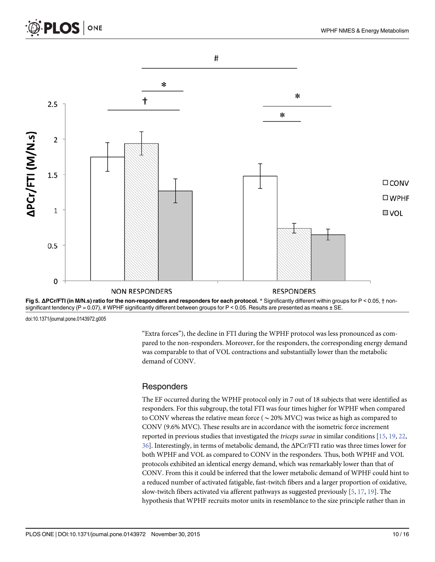



doi:10.1371/journal.pone.0143972.g005

"Extra forces"), the decline in FTI during the WPHF protocol was less pronounced as compared to the non-responders. Moreover, for the responders, the corresponding energy demand was comparable to that of VOL contractions and substantially lower than the metabolic demand of CONV.

### **Responders**

The EF occurred during the WPHF protocol only in 7 out of 18 subjects that were identified as responders. For this subgroup, the total FTI was four times higher for WPHF when compared to CONV whereas the relative mean force ( $\sim$  20% MVC) was twice as high as compared to CONV (9.6% MVC). These results are in accordance with the isometric force increment reported in previous studies that investigated the triceps surae in similar conditions [15, 19, 22, 36]. Interestingly, in terms of metabolic demand, the ΔPCr/FTI ratio was three times lower for both WPHF and VOL as compared to CONV in the responders. Thus, both WPHF and VOL protocols exhibited an identical energy demand, which was remarkably lower than that of CONV. From this it could be inferred that the lower metabolic demand of WPHF could hint to a reduced number of activated fatigable, fast-twitch fibers and a larger proportion of oxidative, slow-twitch fibers activated via afferent pathways as suggested previously  $[5, 17, 19]$ . The hypothesis that WPHF recruits motor units in resemblance to the size principle rather than in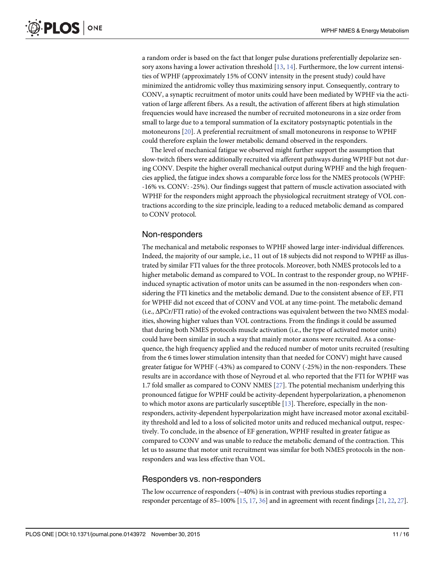a random order is based on the fact that longer pulse durations preferentially depolarize sensory axons having a lower activation threshold  $[13, 14]$ . Furthermore, the low current intensities of WPHF (approximately 15% of CONV intensity in the present study) could have minimized the antidromic volley thus maximizing sensory input. Consequently, contrary to CONV, a synaptic recruitment of motor units could have been mediated by WPHF via the activation of large afferent fibers. As a result, the activation of afferent fibers at high stimulation frequencies would have increased the number of recruited motoneurons in a size order from small to large due to a temporal summation of Ia excitatory postsynaptic potentials in the motoneurons [20]. A preferential recruitment of small motoneurons in response to WPHF could therefore explain the lower metabolic demand observed in the responders.

The level of mechanical fatigue we observed might further support the assumption that slow-twitch fibers were additionally recruited via afferent pathways during WPHF but not during CONV. Despite the higher overall mechanical output during WPHF and the high frequencies applied, the fatigue index shows a comparable force loss for the NMES protocols (WPHF: -16% vs. CONV: -25%). Our findings suggest that pattern of muscle activation associated with WPHF for the responders might approach the physiological recruitment strategy of VOL contractions according to the size principle, leading to a reduced metabolic demand as compared to CONV protocol.

### Non-responders

The mechanical and metabolic responses to WPHF showed large inter-individual differences. Indeed, the majority of our sample, i.e., 11 out of 18 subjects did not respond to WPHF as illustrated by similar FTI values for the three protocols. Moreover, both NMES protocols led to a higher metabolic demand as compared to VOL. In contrast to the responder group, no WPHFinduced synaptic activation of motor units can be assumed in the non-responders when considering the FTI kinetics and the metabolic demand. Due to the consistent absence of EF, FTI for WPHF did not exceed that of CONV and VOL at any time-point. The metabolic demand (i.e., ΔPCr/FTI ratio) of the evoked contractions was equivalent between the two NMES modalities, showing higher values than VOL contractions. From the findings it could be assumed that during both NMES protocols muscle activation (i.e., the type of activated motor units) could have been similar in such a way that mainly motor axons were recruited. As a consequence, the high frequency applied and the reduced number of motor units recruited (resulting from the 6 times lower stimulation intensity than that needed for CONV) might have caused greater fatigue for WPHF (-43%) as compared to CONV (-25%) in the non-responders. These results are in accordance with those of Neyroud et al. who reported that the FTI for WPHF was 1.7 fold smaller as compared to CONV NMES  $[27]$ . The potential mechanism underlying this pronounced fatigue for WPHF could be activity-dependent hyperpolarization, a phenomenon to which motor axons are particularly susceptible [13]. Therefore, especially in the nonresponders, activity-dependent hyperpolarization might have increased motor axonal excitability threshold and led to a loss of solicited motor units and reduced mechanical output, respectively. To conclude, in the absence of EF generation, WPHF resulted in greater fatigue as compared to CONV and was unable to reduce the metabolic demand of the contraction. This let us to assume that motor unit recruitment was similar for both NMES protocols in the nonresponders and was less effective than VOL.

### Responders vs. non-responders

The low occurrence of responders (~40%) is in contrast with previous studies reporting a responder percentage of 85–100%  $[15, 17, 36]$  and in agreement with recent findings  $[21, 22, 27]$ .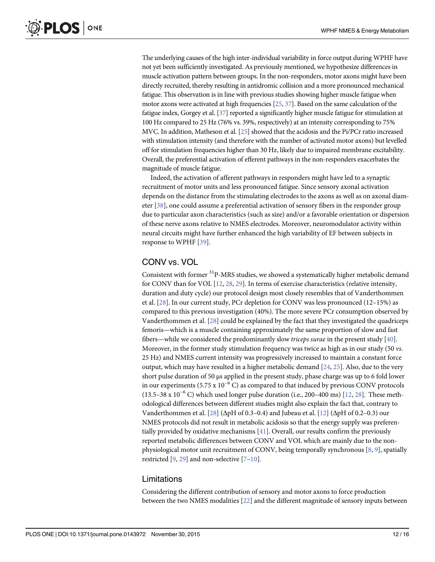The underlying causes of the high inter-individual variability in force output during WPHF have not yet been sufficiently investigated. As previously mentioned, we hypothesize differences in muscle activation pattern between groups. In the non-responders, motor axons might have been directly recruited, thereby resulting in antidromic collision and a more pronounced mechanical fatigue. This observation is in line with previous studies showing higher muscle fatigue when motor axons were activated at high frequencies  $[25, 37]$ . Based on the same calculation of the fatigue index, Gorgey et al. [37] reported a significantly higher muscle fatigue for stimulation at 100 Hz compared to 25 Hz (76% vs. 39%, respectively) at an intensity corresponding to 75% MVC. In addition, Matheson et al. [25] showed that the acidosis and the Pi/PCr ratio increased with stimulation intensity (and therefore with the number of activated motor axons) but levelled off for stimulation frequencies higher than 30 Hz, likely due to impaired membrane excitability. Overall, the preferential activation of efferent pathways in the non-responders exacerbates the magnitude of muscle fatigue.

Indeed, the activation of afferent pathways in responders might have led to a synaptic recruitment of motor units and less pronounced fatigue. Since sensory axonal activation depends on the distance from the stimulating electrodes to the axons as well as on axonal diameter [38], one could assume a preferential activation of sensory fibers in the responder group due to particular axon characteristics (such as size) and/or a favorable orientation or dispersion of these nerve axons relative to NMES electrodes. Moreover, neuromodulator activity within neural circuits might have further enhanced the high variability of EF between subjects in response to WPHF [39].

### CONV vs. VOL

Consistent with former <sup>31</sup>P-MRS studies, we showed a systematically higher metabolic demand for CONV than for VOL [12, 28, 29]. In terms of exercise characteristics (relative intensity, duration and duty cycle) our protocol design most closely resembles that of Vanderthommen et al. [28]. In our current study, PCr depletion for CONV was less pronounced (12–15%) as compared to this previous investigation (40%). The more severe PCr consumption observed by Vanderthommen et al. [28] could be explained by the fact that they investigated the quadriceps femoris—which is a muscle containing approximately the same proportion of slow and fast fibers—while we considered the predominantly slow *triceps surae* in the present study  $[40]$ . Moreover, in the former study stimulation frequency was twice as high as in our study (50 vs. 25 Hz) and NMES current intensity was progressively increased to maintain a constant force output, which may have resulted in a higher metabolic demand  $[24, 25]$ . Also, due to the very short pulse duration of 50 μs applied in the present study, phase charge was up to 6 fold lower in our experiments (5.75 x  $10^{-6}$  C) as compared to that induced by previous CONV protocols (13.5–38 x 10<sup>-6</sup> C) which used longer pulse duration (i.e., 200–400 ms) [12, 28]. These methodological differences between different studies might also explain the fact that, contrary to Vanderthommen et al.  $[28]$  ( $\Delta$ pH of 0.3–0.4) and Jubeau et al.  $[12]$  ( $\Delta$ pH of 0.2–0.3) our NMES protocols did not result in metabolic acidosis so that the energy supply was preferentially provided by oxidative mechanisms  $[41]$ . Overall, our results confirm the previously reported metabolic differences between CONV and VOL which are mainly due to the nonphysiological motor unit recruitment of CONV, being temporally synchronous [8, 9], spatially restricted  $[9, 29]$  and non-selective  $[7-10]$ .

### Limitations

Considering the different contribution of sensory and motor axons to force production between the two NMES modalities [22] and the different magnitude of sensory inputs between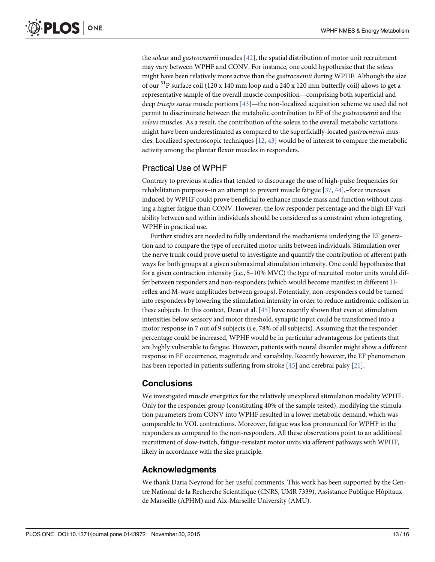the soleus and gastrocnemii muscles [42], the spatial distribution of motor unit recruitment may vary between WPHF and CONV. For instance, one could hypothesize that the soleus might have been relatively more active than the gastrocnemii during WPHF. Although the size of our  ${}^{31}P$  surface coil (120 x 140 mm loop and a 240 x 120 mm butterfly coil) allows to get a representative sample of the overall muscle composition—comprising both superficial and deep *triceps surae* muscle portions  $[43]$ —the non-localized acquisition scheme we used did not permit to discriminate between the metabolic contribution to EF of the gastrocnemii and the soleus muscles. As a result, the contribution of the soleus to the overall metabolic variations might have been underestimated as compared to the superficially-located gastrocnemii muscles. Localized spectroscopic techniques  $[12, 43]$  would be of interest to compare the metabolic activity among the plantar flexor muscles in responders.

### Practical Use of WPHF

Contrary to previous studies that tended to discourage the use of high-pulse frequencies for rehabilitation purposes–in an attempt to prevent muscle fatigue  $[37, 44]$ ,–force increases induced by WPHF could prove beneficial to enhance muscle mass and function without causing a higher fatigue than CONV. However, the low responder percentage and the high EF variability between and within individuals should be considered as a constraint when integrating WPHF in practical use.

Further studies are needed to fully understand the mechanisms underlying the EF generation and to compare the type of recruited motor units between individuals. Stimulation over the nerve trunk could prove useful to investigate and quantify the contribution of afferent pathways for both groups at a given submaximal stimulation intensity. One could hypothesize that for a given contraction intensity (i.e., 5–10% MVC) the type of recruited motor units would differ between responders and non-responders (which would become manifest in different Hreflex and M-wave amplitudes between groups). Potentially, non-responders could be turned into responders by lowering the stimulation intensity in order to reduce antidromic collision in these subjects. In this context, Dean et al. [45] have recently shown that even at stimulation intensities below sensory and motor threshold, synaptic input could be transformed into a motor response in 7 out of 9 subjects (i.e. 78% of all subjects). Assuming that the responder percentage could be increased, WPHF would be in particular advantageous for patients that are highly vulnerable to fatigue. However, patients with neural disorder might show a different response in EF occurrence, magnitude and variability. Recently however, the EF phenomenon has been reported in patients suffering from stroke [45] and cerebral palsy [21].

### **Conclusions**

We investigated muscle energetics for the relatively unexplored stimulation modality WPHF. Only for the responder group (constituting 40% of the sample tested), modifying the stimulation parameters from CONV into WPHF resulted in a lower metabolic demand, which was comparable to VOL contractions. Moreover, fatigue was less pronounced for WPHF in the responders as compared to the non-responders. All these observations point to an additional recruitment of slow-twitch, fatigue-resistant motor units via afferent pathways with WPHF, likely in accordance with the size principle.

### Acknowledgments

We thank Daria Neyroud for her useful comments. This work has been supported by the Centre National de la Recherche Scientifique (CNRS, UMR 7339), Assistance Publique Hôpitaux de Marseille (APHM) and Aix-Marseille University (AMU).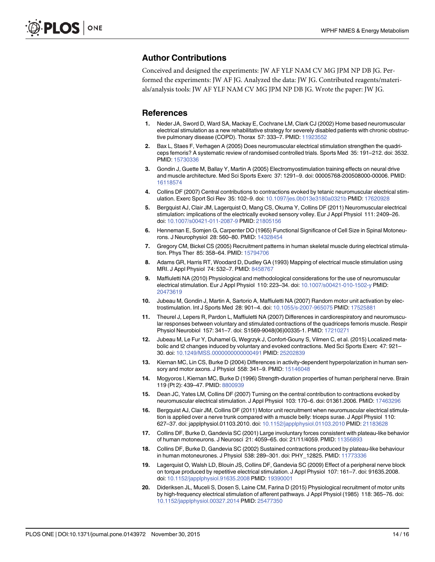### Author Contributions

Conceived and designed the experiments: JW AF YLF NAM CV MG JPM NP DB JG. Performed the experiments: JW AF JG. Analyzed the data: JW JG. Contributed reagents/materials/analysis tools: JW AF YLF NAM CV MG JPM NP DB JG. Wrote the paper: JW JG.

### **References**

- 1. Neder JA, Sword D, Ward SA, Mackay E, Cochrane LM, Clark CJ (2002) Home based neuromuscular electrical stimulation as a new rehabilitative strategy for severely disabled patients with chronic obstruc-tive pulmonary disease (COPD). Thorax 57: 333-7. PMID: [11923552](http://www.ncbi.nlm.nih.gov/pubmed/11923552)
- 2. Bax L, Staes F, Verhagen A (2005) Does neuromuscular electrical stimulation strengthen the quadriceps femoris? A systematic review of randomised controlled trials. Sports Med 35: 191–212. doi: 3532. PMID: [15730336](http://www.ncbi.nlm.nih.gov/pubmed/15730336)
- 3. Gondin J, Guette M, Ballay Y, Martin A (2005) Electromyostimulation training effects on neural drive and muscle architecture. Med Sci Sports Exerc 37: 1291–9. doi: 00005768-200508000-00006. PMID: [16118574](http://www.ncbi.nlm.nih.gov/pubmed/16118574)
- 4. Collins DF (2007) Central contributions to contractions evoked by tetanic neuromuscular electrical stimulation. Exerc Sport Sci Rev 35: 102–9. doi: [10.1097/jes.0b013e3180a0321b](http://dx.doi.org/10.1097/jes.0b013e3180a0321b) PMID: [17620928](http://www.ncbi.nlm.nih.gov/pubmed/17620928)
- 5. Bergquist AJ, Clair JM, Lagerquist O, Mang CS, Okuma Y, Collins DF (2011) Neuromuscular electrical stimulation: implications of the electrically evoked sensory volley. Eur J Appl Physiol 111: 2409–26. doi: [10.1007/s00421-011-2087-9](http://dx.doi.org/10.1007/s00421-011-2087-9) PMID: [21805156](http://www.ncbi.nlm.nih.gov/pubmed/21805156)
- 6. Henneman E, Somjen G, Carpenter DO (1965) Functional Significance of Cell Size in Spinal Motoneurons. J Neurophysiol 28: 560–80. PMID: [14328454](http://www.ncbi.nlm.nih.gov/pubmed/14328454)
- 7. Gregory CM, Bickel CS (2005) Recruitment patterns in human skeletal muscle during electrical stimulation. Phys Ther 85: 358–64. PMID: [15794706](http://www.ncbi.nlm.nih.gov/pubmed/15794706)
- 8. Adams GR, Harris RT, Woodard D, Dudley GA (1993) Mapping of electrical muscle stimulation using MRI. J Appl Physiol 74: 532–7. PMID: [8458767](http://www.ncbi.nlm.nih.gov/pubmed/8458767)
- 9. Maffiuletti NA (2010) Physiological and methodological considerations for the use of neuromuscular electrical stimulation. Eur J Appl Physiol 110: 223–34. doi: [10.1007/s00421-010-1502-y](http://dx.doi.org/10.1007/s00421-010-1502-y) PMID: [20473619](http://www.ncbi.nlm.nih.gov/pubmed/20473619)
- 10. Jubeau M, Gondin J, Martin A, Sartorio A, Maffiuletti NA (2007) Random motor unit activation by electrostimulation. Int J Sports Med 28: 901–4. doi: [10.1055/s-2007-965075](http://dx.doi.org/10.1055/s-2007-965075) PMID: [17525881](http://www.ncbi.nlm.nih.gov/pubmed/17525881)
- 11. Theurel J, Lepers R, Pardon L, Maffiuletti NA (2007) Differences in cardiorespiratory and neuromuscular responses between voluntary and stimulated contractions of the quadriceps femoris muscle. Respir Physiol Neurobiol 157: 341–7. doi: S1569-9048(06)00335-1. PMID: [17210271](http://www.ncbi.nlm.nih.gov/pubmed/17210271)
- 12. Jubeau M, Le Fur Y, Duhamel G, Wegrzyk J, Confort-Gouny S, Vilmen C, et al. (2015) Localized metabolic and t2 changes induced by voluntary and evoked contractions. Med Sci Sports Exerc 47: 921– 30. doi: [10.1249/MSS.0000000000000491](http://dx.doi.org/10.1249/MSS.0000000000000491) PMID: [25202839](http://www.ncbi.nlm.nih.gov/pubmed/25202839)
- 13. Kiernan MC, Lin CS, Burke D (2004) Differences in activity-dependent hyperpolarization in human sensory and motor axons. J Physiol 558: 341–9. PMID: [15146048](http://www.ncbi.nlm.nih.gov/pubmed/15146048)
- 14. Mogyoros I, Kiernan MC, Burke D (1996) Strength-duration properties of human peripheral nerve. Brain 119 (Pt 2): 439-47. PMID: [8800939](http://www.ncbi.nlm.nih.gov/pubmed/8800939)
- 15. Dean JC, Yates LM, Collins DF (2007) Turning on the central contribution to contractions evoked by neuromuscular electrical stimulation. J Appl Physiol 103: 170–6. doi: 01361.2006. PMID: [17463296](http://www.ncbi.nlm.nih.gov/pubmed/17463296)
- 16. Bergquist AJ, Clair JM, Collins DF (2011) Motor unit recruitment when neuromuscular electrical stimulation is applied over a nerve trunk compared with a muscle belly: triceps surae. J Appl Physiol 110: 627–37. doi: japplphysiol.01103.2010. doi: [10.1152/japplphysiol.01103.2010](http://dx.doi.org/10.1152/japplphysiol.01103.2010) PMID: [21183628](http://www.ncbi.nlm.nih.gov/pubmed/21183628)
- 17. Collins DF, Burke D, Gandevia SC (2001) Large involuntary forces consistent with plateau-like behavior of human motoneurons. J Neurosci 21: 4059–65. doi: 21/11/4059. PMID: [11356893](http://www.ncbi.nlm.nih.gov/pubmed/11356893)
- 18. Collins DF, Burke D, Gandevia SC (2002) Sustained contractions produced by plateau-like behaviour in human motoneurones. J Physiol 538: 289–301. doi: PHY\_12825. PMID: [11773336](http://www.ncbi.nlm.nih.gov/pubmed/11773336)
- 19. Lagerquist O, Walsh LD, Blouin JS, Collins DF, Gandevia SC (2009) Effect of a peripheral nerve block on torque produced by repetitive electrical stimulation. J Appl Physiol 107: 161–7. doi: 91635.2008. doi: [10.1152/japplphysiol.91635.2008](http://dx.doi.org/10.1152/japplphysiol.91635.2008) PMID: [19390001](http://www.ncbi.nlm.nih.gov/pubmed/19390001)
- 20. Dideriksen JL, Muceli S, Dosen S, Laine CM, Farina D (2015) Physiological recruitment of motor units by high-frequency electrical stimulation of afferent pathways. J Appl Physiol (1985) 118: 365–76. doi: [10.1152/japplphysiol.00327.2014](http://dx.doi.org/10.1152/japplphysiol.00327.2014) PMID: [25477350](http://www.ncbi.nlm.nih.gov/pubmed/25477350)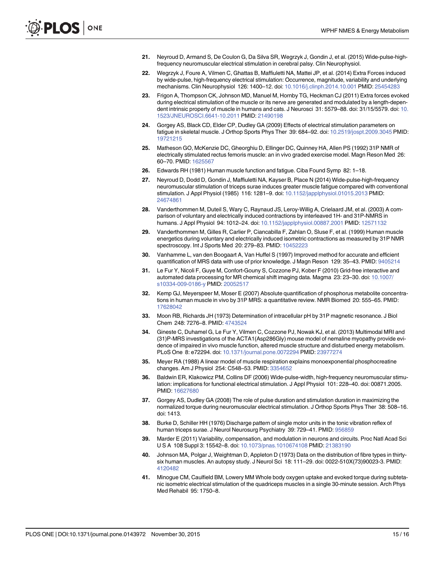- 21. Neyroud D, Armand S, De Coulon G, Da Silva SR, Wegrzyk J, Gondin J, et al. (2015) Wide-pulse-highfrequency neuromuscular electrical stimulation in cerebral palsy. Clin Neurophysiol.
- 22. Wegrzyk J, Foure A, Vilmen C, Ghattas B, Maffiuletti NA, Mattei JP, et al. (2014) Extra Forces induced by wide-pulse, high-frequency electrical stimulation: Occurrence, magnitude, variability and underlying mechanisms. Clin Neurophysiol 126: 1400–12. doi: [10.1016/j.clinph.2014.10.001](http://dx.doi.org/10.1016/j.clinph.2014.10.001) PMID: [25454283](http://www.ncbi.nlm.nih.gov/pubmed/25454283)
- 23. Frigon A, Thompson CK, Johnson MD, Manuel M, Hornby TG, Heckman CJ (2011) Extra forces evoked during electrical stimulation of the muscle or its nerve are generated and modulated by a length-dependent intrinsic property of muscle in humans and cats. J Neurosci 31: 5579–88. doi: 31/15/5579. doi: [10.](http://dx.doi.org/10.1523/JNEUROSCI.6641-10.2011) [1523/JNEUROSCI.6641-10.2011](http://dx.doi.org/10.1523/JNEUROSCI.6641-10.2011) PMID: [21490198](http://www.ncbi.nlm.nih.gov/pubmed/21490198)
- Gorgey AS, Black CD, Elder CP, Dudley GA (2009) Effects of electrical stimulation parameters on fatigue in skeletal muscle. J Orthop Sports Phys Ther 39: 684-92. doi: [10.2519/jospt.2009.3045](http://dx.doi.org/10.2519/jospt.2009.3045) PMID: [19721215](http://www.ncbi.nlm.nih.gov/pubmed/19721215)
- 25. Matheson GO, McKenzie DC, Gheorghiu D, Ellinger DC, Quinney HA, Allen PS (1992) 31P NMR of electrically stimulated rectus femoris muscle: an in vivo graded exercise model. Magn Reson Med 26: 60–70. PMID: [1625567](http://www.ncbi.nlm.nih.gov/pubmed/1625567)
- 26. Edwards RH (1981) Human muscle function and fatigue. Ciba Found Symp 82: 1–18.
- 27. Neyroud D, Dodd D, Gondin J, Maffiuletti NA, Kayser B, Place N (2014) Wide-pulse-high-frequency neuromuscular stimulation of triceps surae induces greater muscle fatigue compared with conventional stimulation. J Appl Physiol (1985) 116: 1281–9. doi: [10.1152/japplphysiol.01015.2013](http://dx.doi.org/10.1152/japplphysiol.01015.2013) PMID: [24674861](http://www.ncbi.nlm.nih.gov/pubmed/24674861)
- 28. Vanderthommen M, Duteil S, Wary C, Raynaud JS, Leroy-Willig A, Crielaard JM, et al. (2003) A comparison of voluntary and electrically induced contractions by interleaved 1H- and 31P-NMRS in humans. J Appl Physiol 94: 1012–24. doi: [10.1152/japplphysiol.00887.2001](http://dx.doi.org/10.1152/japplphysiol.00887.2001) PMID: [12571132](http://www.ncbi.nlm.nih.gov/pubmed/12571132)
- 29. Vanderthommen M, Gilles R, Carlier P, Ciancabilla F, Zahlan O, Sluse F, et al. (1999) Human muscle energetics during voluntary and electrically induced isometric contractions as measured by 31P NMR spectroscopy. Int J Sports Med 20: 279–83. PMID: [10452223](http://www.ncbi.nlm.nih.gov/pubmed/10452223)
- 30. Vanhamme L, van den Boogaart A, Van Huffel S (1997) Improved method for accurate and efficient quantification of MRS data with use of prior knowledge. J Magn Reson 129: 35-43. PMID: [9405214](http://www.ncbi.nlm.nih.gov/pubmed/9405214)
- 31. Le Fur Y, Nicoli F, Guye M, Confort-Gouny S, Cozzone PJ, Kober F (2010) Grid-free interactive and automated data processing for MR chemical shift imaging data. Magma 23: 23–30. doi: [10.1007/](http://dx.doi.org/10.1007/s10334-009-0186-y) [s10334-009-0186-y](http://dx.doi.org/10.1007/s10334-009-0186-y) PMID: [20052517](http://www.ncbi.nlm.nih.gov/pubmed/20052517)
- 32. Kemp GJ, Meyerspeer M, Moser E (2007) Absolute quantification of phosphorus metabolite concentrations in human muscle in vivo by 31P MRS: a quantitative review. NMR Biomed 20: 555–65. PMID: [17628042](http://www.ncbi.nlm.nih.gov/pubmed/17628042)
- 33. Moon RB, Richards JH (1973) Determination of intracellular pH by 31P magnetic resonance. J Biol Chem 248: 7276–8. PMID: [4743524](http://www.ncbi.nlm.nih.gov/pubmed/4743524)
- 34. Gineste C, Duhamel G, Le Fur Y, Vilmen C, Cozzone PJ, Nowak KJ, et al. (2013) Multimodal MRI and (31)P-MRS investigations of the ACTA1(Asp286Gly) mouse model of nemaline myopathy provide evidence of impaired in vivo muscle function, altered muscle structure and disturbed energy metabolism. PLoS One 8: e72294. doi: [10.1371/journal.pone.0072294](http://dx.doi.org/10.1371/journal.pone.0072294) PMID: [23977274](http://www.ncbi.nlm.nih.gov/pubmed/23977274)
- 35. Meyer RA (1988) A linear model of muscle respiration explains monoexponential phosphocreatine changes. Am J Physiol 254: C548–53. PMID: [3354652](http://www.ncbi.nlm.nih.gov/pubmed/3354652)
- 36. Baldwin ER, Klakowicz PM, Collins DF (2006) Wide-pulse-width, high-frequency neuromuscular stimulation: implications for functional electrical stimulation. J Appl Physiol 101: 228–40. doi: 00871.2005. PMID: [16627680](http://www.ncbi.nlm.nih.gov/pubmed/16627680)
- 37. Gorgey AS, Dudley GA (2008) The role of pulse duration and stimulation duration in maximizing the normalized torque during neuromuscular electrical stimulation. J Orthop Sports Phys Ther 38: 508–16. doi: 1413.
- 38. Burke D, Schiller HH (1976) Discharge pattern of single motor units in the tonic vibration reflex of human triceps surae. J Neurol Neurosurg Psychiatry 39: 729-41. PMID: [956859](http://www.ncbi.nlm.nih.gov/pubmed/956859)
- 39. Marder E (2011) Variability, compensation, and modulation in neurons and circuits. Proc Natl Acad Sci U S A 108 Suppl 3: 15542–8. doi: [10.1073/pnas.1010674108](http://dx.doi.org/10.1073/pnas.1010674108) PMID: [21383190](http://www.ncbi.nlm.nih.gov/pubmed/21383190)
- 40. Johnson MA, Polgar J, Weightman D, Appleton D (1973) Data on the distribution of fibre types in thirtysix human muscles. An autopsy study. J Neurol Sci 18: 111–29. doi: 0022-510X(73)90023-3. PMID: [4120482](http://www.ncbi.nlm.nih.gov/pubmed/4120482)
- 41. Minogue CM, Caulfield BM, Lowery MM Whole body oxygen uptake and evoked torque during subtetanic isometric electrical stimulation of the quadriceps muscles in a single 30-minute session. Arch Phys Med Rehabil 95: 1750–8.